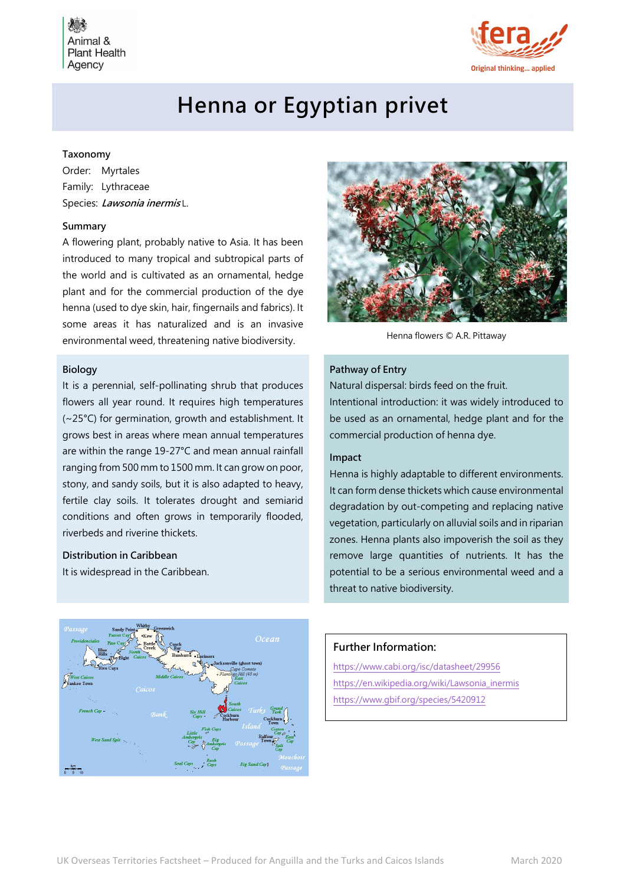Animal & **Plant Health** Agency



# Henna or Egyptian privet

## Taxonomy

Order: Myrtales Family: Lythraceae Species: Lawsonia inermisL.

# Summary

A flowering plant, probably native to Asia. It has been introduced to many tropical and subtropical parts of the world and is cultivated as an ornamental, hedge plant and for the commercial production of the dye henna (used to dye skin, hair, fingernails and fabrics). It some areas it has naturalized and is an invasive environmental weed, threatening native biodiversity. Henna flowers © A.R. Pittaway

## Biology

It is a perennial, self-pollinating shrub that produces flowers all year round. It requires high temperatures (~25°C) for germination, growth and establishment. It grows best in areas where mean annual temperatures are within the range 19-27°C and mean annual rainfall ranging from 500 mm to 1500 mm. It can grow on poor, stony, and sandy soils, but it is also adapted to heavy, fertile clay soils. It tolerates drought and semiarid conditions and often grows in temporarily flooded, riverbeds and riverine thickets.

### Distribution in Caribbean

It is widespread in the Caribbean.



#### Pathway of Entry

Natural dispersal: birds feed on the fruit.

Intentional introduction: it was widely introduced to be used as an ornamental, hedge plant and for the commercial production of henna dye.

# Impact

Henna is highly adaptable to different environments. It can form dense thickets which cause environmental degradation by out-competing and replacing native vegetation, particularly on alluvial soils and in riparian zones. Henna plants also impoverish the soil as they remove large quantities of nutrients. It has the potential to be a serious environmental weed and a threat to native biodiversity.



## Further Information:

https://www.cabi.org/isc/datasheet/29956 https://en.wikipedia.org/wiki/Lawsonia\_inermis https://www.gbif.org/species/5420912